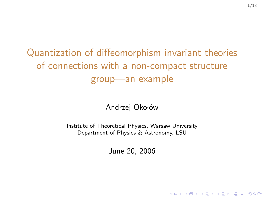# Quantization of diffeomorphism invariant theories of connections with a non-compact structure group—an example

Andrzej Okołów

Institute of Theoretical Physics, Warsaw University Department of Physics & Astronomy, LSU

June 20, 2006

KOD KARD KED KED EN MAG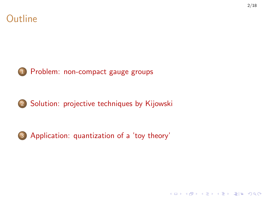



1 [Problem: non-compact gauge groups](#page-2-0)





3 [Application: quantization of a 'toy theory'](#page-10-0)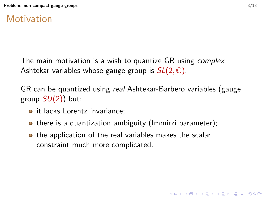### **Motivation**

The main motivation is a wish to quantize GR using *complex* Ashtekar variables whose gauge group is  $SL(2, \mathbb{C})$ .

GR can be quantized using real Ashtekar-Barbero variables (gauge group  $SU(2)$ ) but:

- it lacks Lorentz invariance:
- there is a quantization ambiguity (Immirzi parameter);
- <span id="page-2-0"></span>**•** the application of the real variables makes the scalar constraint much more complicated.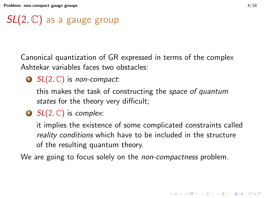# $SL(2,\mathbb{C})$  as a gauge group

Canonical quantization of GR expressed in terms of the complex Ashtekar variables faces two obstacles:

 $\bigcirc$  SL(2, C) is non-compact:

this makes the task of constructing the space of quantum states for the theory very difficult;

2  $SL(2, \mathbb{C})$  is complex:

it implies the existence of some complicated constraints called reality conditions which have to be included in the structure of the resulting quantum theory.

We are going to focus solely on the *non-compactness* problem.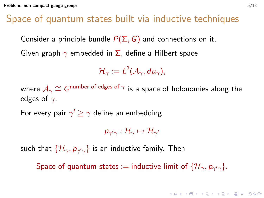### Space of quantum states built via inductive techniques

Consider a principle bundle  $P(\Sigma, G)$  and connections on it.

Given graph  $\gamma$  embedded in  $\Sigma$ , define a Hilbert space

$$
\mathcal{H}_\gamma:=L^2(\mathcal{A}_\gamma,d\mu_\gamma),
$$

where  $\mathcal{A}_\gamma\cong G^{\mathsf{number\ of\ edges\ of\ }\gamma}$  is a space of holonomies along the edges of  $\gamma$ .

For every pair  $\gamma' \geq \gamma$  define an embedding

 $p_{\gamma'\gamma}:\mathcal{H}_\gamma\mapsto\mathcal{H}_{\gamma'}$ 

such that  $\{\mathcal{H}_\gamma, {\bm p}_{\gamma'\gamma}\}$  is an inductive family. Then

Space of quantum states := inductive limit of  $\{\mathcal{H}_{\gamma},p_{\gamma'\gamma}\}.$ 

**KOD KAD KED KED EN AQO**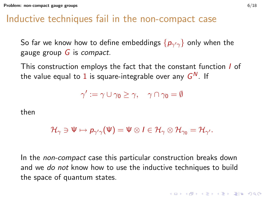#### Inductive techniques fail in the non-compact case

So far we know how to define embeddings  $\{ \rho_{\gamma^\prime \gamma} \}$  only when the gauge group  $G$  is compact.

This construction employs the fact that the constant function *I* of the value equal to  $1$  is square-integrable over any  $\mathsf{G}^\mathsf{N}.$  If

$$
\gamma':=\gamma\cup\gamma_0\geq\gamma,\quad \gamma\cap\gamma_0=\emptyset
$$

then

$$
\mathcal{H}_{\gamma}\ni \Psi\mapsto p_{\gamma'\gamma}(\Psi)=\Psi\otimes I\in \mathcal{H}_{\gamma}\otimes \mathcal{H}_{\gamma_0}=\mathcal{H}_{\gamma'}.
$$

In the *non-compact* case this particular construction breaks down and we do not know how to use the inductive techniques to build the space of quantum states.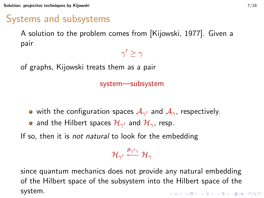[Solution: projective techniques by Kijowski](#page-6-0) 7/18

### Systems and subsystems

A solution to the problem comes from [\[Kijowski, 1977\]](#page-17-0). Given a pair

of graphs, Kijowski treats them as a pair

#### system—subsystem

 $\gamma' \geq \gamma$ 

- with the configuration spaces  $\mathcal{A}_{\gamma'}$  and  $\mathcal{A}_{\gamma}$ , respectively.
- and the Hilbert spaces  $\mathcal{H}_{\gamma'}$  and  $\mathcal{H}_{\gamma}$ , resp.

If so, then it is *not natural* to look for the embedding

$$
\mathcal{H}_{\gamma'}\stackrel{p_{\gamma'\gamma}}{\longleftarrow}\mathcal{H}_\gamma
$$

<span id="page-6-0"></span>since quantum mechanics does not provide any natural embedding of the Hilbert space of the subsystem into the Hilbert space of the system.KO K K (F K E K E K A E K A K K K K K K K K K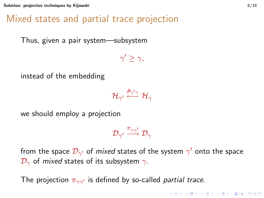[Solution: projective techniques by Kijowski](#page-6-0) 8/18

### Mixed states and partial trace projection

Thus, given a pair system—subsystem

instead of the embedding

$$
\mathcal{H}_{\gamma'}\stackrel{p_{\gamma'\gamma}}{\longleftarrow}\mathcal{H}_\gamma
$$

 $\gamma' \geq \gamma$ 

we should employ a projection

$$
\mathcal{D}_{\gamma'} \stackrel{\pi_{\gamma\gamma'}}{\longrightarrow} \mathcal{D}_{\gamma}
$$

from the space  $\mathcal{D}_{\gamma'}$  of *mixed* states of the system  $\gamma'$  onto the space  $\mathcal{D}_{\gamma}$  of *mixed* states of its subsystem  $\gamma$ .

The projection  $\pi_{\gamma\gamma'}$  is defined by so-called *partial trace*.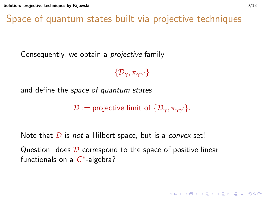Space of quantum states built via projective techniques

Consequently, we obtain a projective family

 $\{\mathcal{D}_{\gamma}, \pi_{\gamma\gamma'}\}$ 

and define the space of quantum states

 $\mathcal{D}$  := projective limit of  $\{\mathcal{D}_{\gamma}, \pi_{\gamma\gamma'}\}.$ 

Note that  $D$  is not a Hilbert space, but is a convex set! Question: does  $D$  correspond to the space of positive linear

functionals on a  $C^*$ -algebra?

**KOD KAD KED KED EN MAG**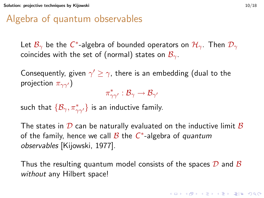### Algebra of quantum observables

Let  $\mathcal{B}_{\gamma}$  be the  $C^*$ -algebra of bounded operators on  $\mathcal{H}_{\gamma}.$  Then  $\mathcal{D}_{\gamma}$ coincides with the set of (normal) states on  $\mathcal{B}_{\gamma}$ .

Consequently, given  $\gamma' \geq \gamma$ , there is an embedding (dual to the projection  $\pi_{\gamma\gamma'}$ )

 $\pi_{\gamma\gamma'}^*:\mathcal{B}_\gamma\to\mathcal{B}_{\gamma'}$ 

such that  $\{\mathcal{B}_\gamma,\pi^*_{\gamma\gamma'}\}$  is an inductive family.

The states in  $D$  can be naturally evaluated on the inductive limit  $B$ of the family, hence we call  $\overline{\mathcal{B}}$  the  $C^*$ -algebra of quantum observables [\[Kijowski, 1977\]](#page-17-0).

Thus the resulting quantum model consists of the spaces  $\mathcal D$  and  $\mathcal B$ without any Hilbert space!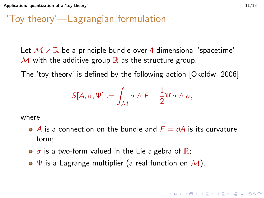### 'Toy theory'—Lagrangian formulation

Let  $\mathcal{M} \times \mathbb{R}$  be a principle bundle over 4-dimensional 'spacetime'  $\mathcal M$  with the additive group  $\mathbb R$  as the structure group.

The 'toy theory' is defined by the following action  $[Okotow, 2006]$ :

$$
S[A, \sigma, \Psi] := \int_{\mathcal{M}} \sigma \wedge F - \frac{1}{2} \Psi \sigma \wedge \sigma,
$$

where

- $\bullet$  A is a connection on the bundle and  $F = dA$  is its curvature form;
- $\bullet$   $\sigma$  is a two-form valued in the Lie algebra of  $\mathbb{R}$ ;
- <span id="page-10-0"></span> $\bullet \Psi$  is a Lagrange multiplier (a real function on  $\mathcal{M}$ ).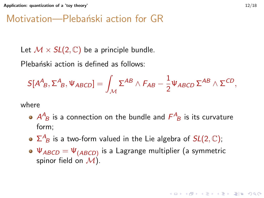### Motivation—Plebański action for GR

Let  $\mathcal{M} \times SL(2,\mathbb{C})$  be a principle bundle.

Plebański action is defined as follows:

$$
S[A^{A}{}_{B},\Sigma^{A}{}_{B},\Psi_{ABCD}] = \int_{\mathcal{M}} \Sigma^{AB} \wedge F_{AB} - \frac{1}{2} \Psi_{ABCD} \Sigma^{AB} \wedge \Sigma^{CD},
$$

where

- $A^A_{~B}$  is a connection on the bundle and  $F^A_{~B}$  is its curvature form;
- $\Sigma^{A}_{~B}$  is a two-form valued in the Lie algebra of  $SL(2,\mathbb{C});$
- $\Psi_{ABCD}=\Psi_{(ABCD)}$  is a Lagrange multiplier (a symmetric spinor field on  $\mathcal{M}$ ).

(ロ) (@) (경) (중) (중) 경(남) 990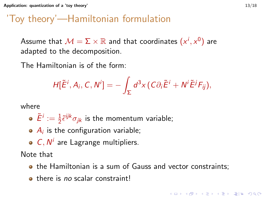## 'Toy theory'—Hamiltonian formulation

Assume that  $\mathcal{M}=\Sigma\times\mathbb{R}$  and that coordinates  $(x^{i},x^{0})$  are adapted to the decomposition.

The Hamiltonian is of the form:

$$
H[\tilde{E}^i, A_i, C, N^i] = -\int_{\Sigma} d^3x \left( C \partial_i \tilde{E}^i + N^i \tilde{E}^j F_{ij} \right),
$$

where

• 
$$
\tilde{E}^i := \frac{1}{2}\tilde{\epsilon}^{ijk}\sigma_{jk}
$$
 is the momentum variable;

- $A_i$  is the configuration variable;
- $C, N<sup>i</sup>$  are Lagrange multipliers.

Note that

- **•** the Hamiltonian is a sum of Gauss and vector constraints:
- **there is no scalar constraint!**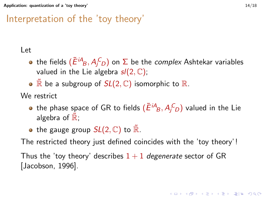### Interpretation of the 'toy theory'

#### Let

- the fields  $(\tilde{E}^{iA}\!_{B},A^{C}_{j\,D})$  on  $\Sigma$  be the *complex* Ashtekar variables valued in the Lie algebra  $sl(2,\mathbb{C})$ ;
- $\mathbb{\bar{R}}$  be a subgroup of  $SL(2, \mathbb{C})$  isomorphic to  $\mathbb{R}$ .

We restrict

- the phase space of GR to fields  $(\tilde{E}^{iA}_{B}, A^{C}_{jD})$  valued in the Lie algebra of  $\mathbb{R}$ ;
- the gauge group  $SL(2, \mathbb{C})$  to  $\mathbb{R}$ .

The restricted theory just defined coincides with the 'toy theory' !

Thus the 'toy theory' describes  $1+1$  degenerate sector of GR [\[Jacobson, 1996\]](#page-17-2).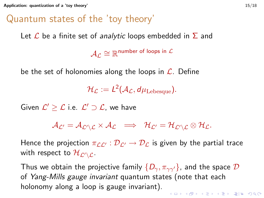### Quantum states of the 'toy theory'

Let  $\mathcal L$  be a finite set of *analytic* loops embedded in  $\Sigma$  and

 $\mathcal{A}_{\mathcal{L}}\cong\mathbb{R}^{\mathsf{number~of~loops~in~}\mathcal{L}}$ 

be the set of holonomies along the loops in  $\mathcal{L}$ . Define

 $\mathcal{H}_{\mathcal{L}} := L^2(\mathcal{A}_{\mathcal{L}}, d\mu_{\mathrm{Lebesque}}).$ 

Given  $\mathcal{L}' \geq \mathcal{L}$  i.e.  $\mathcal{L}' \supset \mathcal{L}$ , we have

$$
\mathcal{A}_{\mathcal{L}'}=\mathcal{A}_{\mathcal{L}'\setminus\mathcal{L}}\times\mathcal{A}_{\mathcal{L}}\;\;\Longrightarrow\;\; \mathcal{H}_{\mathcal{L}'}=\mathcal{H}_{\mathcal{L}'\setminus\mathcal{L}}\otimes\mathcal{H}_{\mathcal{L}}.
$$

Hence the projection  $\pi_{LL'} : \mathcal{D}_{L'} \to \mathcal{D}_L$  is given by the partial trace with respect to  $\mathcal{H}_{\mathcal{L}'\setminus\mathcal{L}}$ .

Thus we obtain the projective family  $\{D_{\gamma}, \pi_{\gamma\gamma'}\}$ , and the space  $\mathcal D$ of Yang-Mills gauge invariant quantum states (note that each holonomy along a loop is gauge invariant)..<br>◆ ロ ▶ ◆ @ ▶ ◆ 경 ▶ → 경 ▶ → 경(ゃ) ◇ 9,9,0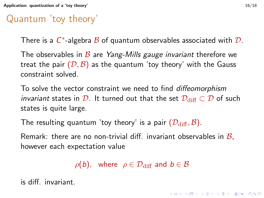## Quantum 'toy theory'

There is a  $C^*$ -algebra  ${\mathcal B}$  of quantum observables associated with  ${\mathcal D}.$ 

The observables in  $\beta$  are Yang-Mills gauge invariant therefore we treat the pair  $(D, \mathcal{B})$  as the quantum 'toy theory' with the Gauss constraint solved.

To solve the vector constraint we need to find diffeomorphism *invariant* states in D. It turned out that the set  $\mathcal{D}_{\text{diff}} \subset \mathcal{D}$  of such states is quite large.

The resulting quantum 'toy theory' is a pair  $(\mathcal{D}_{\text{diff}}, \mathcal{B})$ .

Remark: there are no non-trivial diff. invariant observables in  $\mathcal{B}$ . however each expectation value

 $\rho(b)$ , where  $\rho \in \mathcal{D}_{\text{diff}}$  and  $b \in \mathcal{B}$ 

is diff. invariant.

**KOD KAD KED KED EN AQO**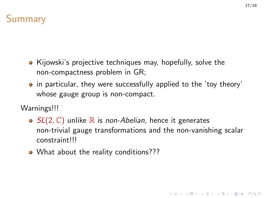

- Kijowski's projective techniques may, hopefully, solve the non-compactness problem in GR;
- in particular, they were successfully applied to the 'toy theory' whose gauge group is non-compact.
- Warnings!!!
	- $SL(2, \mathbb{C})$  unlike  $\mathbb R$  is non-Abelian, hence it generates non-trivial gauge transformations and the non-vanishing scalar constraint!!!
	- What about the reality conditions???